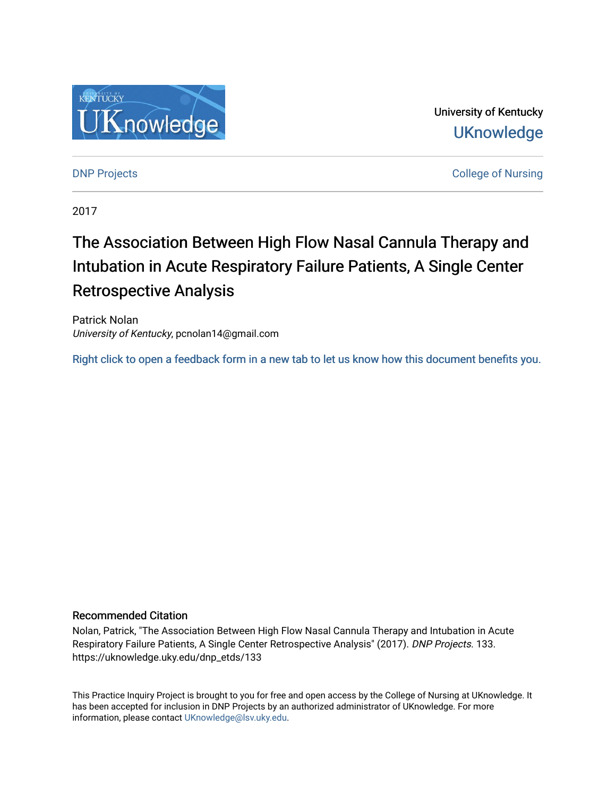

University of Kentucky **UKnowledge** 

**DNP Projects** College of Nursing

2017

# The Association Between High Flow Nasal Cannula Therapy and Intubation in Acute Respiratory Failure Patients, A Single Center Retrospective Analysis

Patrick Nolan University of Kentucky, pcnolan14@gmail.com

[Right click to open a feedback form in a new tab to let us know how this document benefits you.](https://uky.az1.qualtrics.com/jfe/form/SV_9mq8fx2GnONRfz7)

# Recommended Citation

Nolan, Patrick, "The Association Between High Flow Nasal Cannula Therapy and Intubation in Acute Respiratory Failure Patients, A Single Center Retrospective Analysis" (2017). DNP Projects. 133. https://uknowledge.uky.edu/dnp\_etds/133

This Practice Inquiry Project is brought to you for free and open access by the College of Nursing at UKnowledge. It has been accepted for inclusion in DNP Projects by an authorized administrator of UKnowledge. For more information, please contact [UKnowledge@lsv.uky.edu](mailto:UKnowledge@lsv.uky.edu).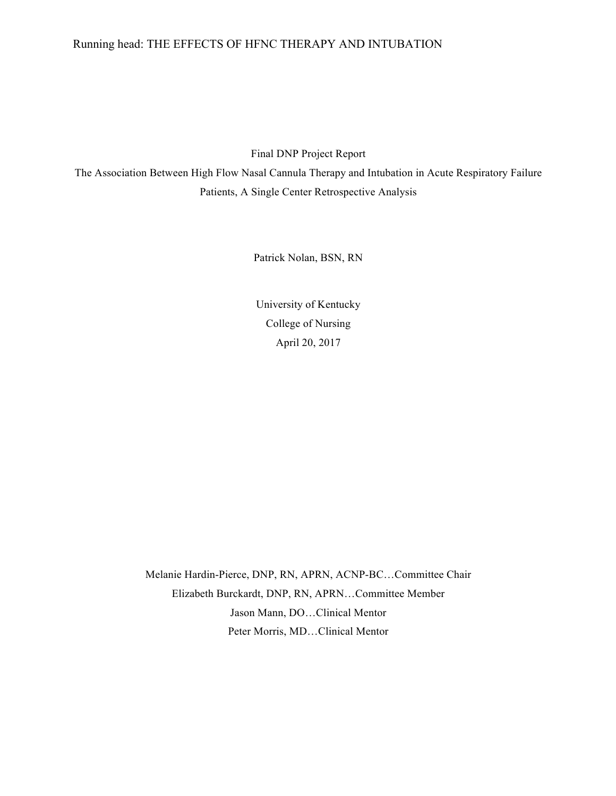# Running head: THE EFFECTS OF HFNC THERAPY AND INTUBATION

Final DNP Project Report

The Association Between High Flow Nasal Cannula Therapy and Intubation in Acute Respiratory Failure Patients, A Single Center Retrospective Analysis

Patrick Nolan, BSN, RN

University of Kentucky College of Nursing April 20, 2017

Melanie Hardin-Pierce, DNP, RN, APRN, ACNP-BC…Committee Chair Elizabeth Burckardt, DNP, RN, APRN…Committee Member Jason Mann, DO…Clinical Mentor Peter Morris, MD…Clinical Mentor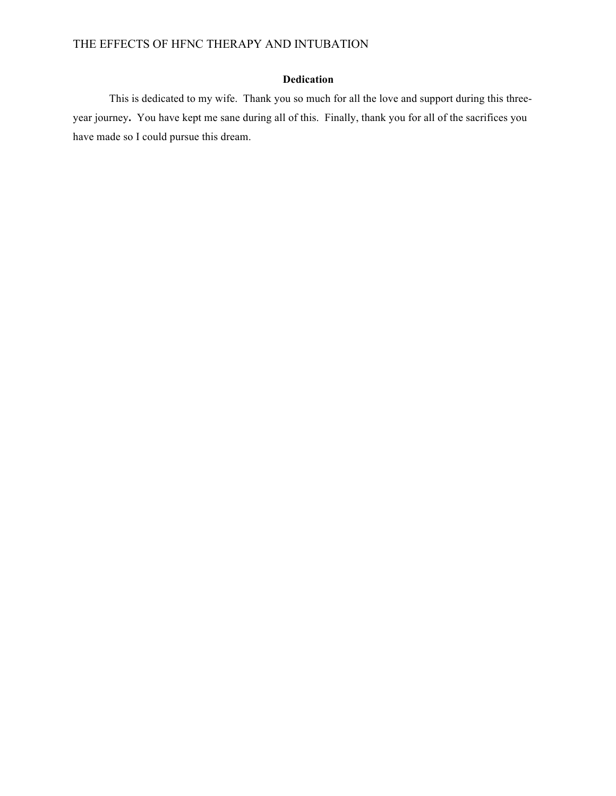# **Dedication**

This is dedicated to my wife. Thank you so much for all the love and support during this threeyear journey**.** You have kept me sane during all of this.Finally, thank you for all of the sacrifices you have made so I could pursue this dream.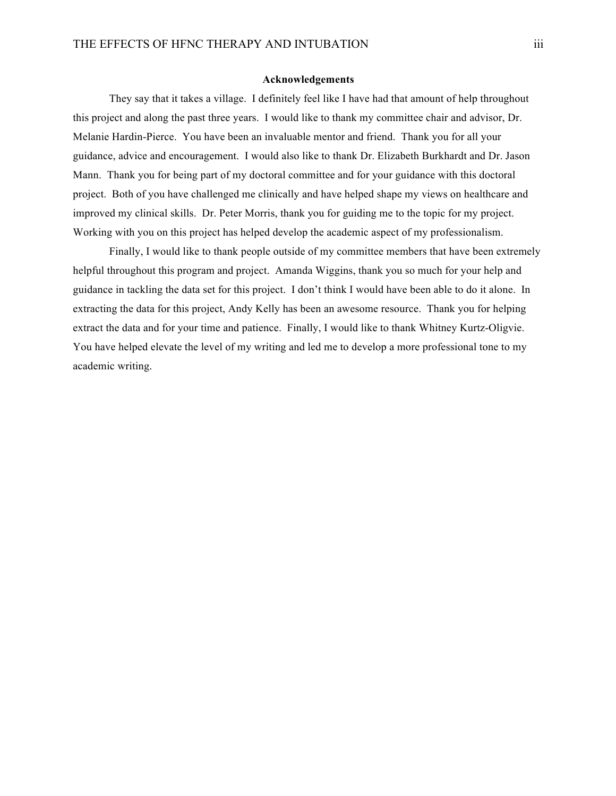#### **Acknowledgements**

They say that it takes a village. I definitely feel like I have had that amount of help throughout this project and along the past three years. I would like to thank my committee chair and advisor, Dr. Melanie Hardin-Pierce. You have been an invaluable mentor and friend. Thank you for all your guidance, advice and encouragement. I would also like to thank Dr. Elizabeth Burkhardt and Dr. Jason Mann. Thank you for being part of my doctoral committee and for your guidance with this doctoral project. Both of you have challenged me clinically and have helped shape my views on healthcare and improved my clinical skills. Dr. Peter Morris, thank you for guiding me to the topic for my project. Working with you on this project has helped develop the academic aspect of my professionalism.

Finally, I would like to thank people outside of my committee members that have been extremely helpful throughout this program and project. Amanda Wiggins, thank you so much for your help and guidance in tackling the data set for this project. I don't think I would have been able to do it alone. In extracting the data for this project, Andy Kelly has been an awesome resource. Thank you for helping extract the data and for your time and patience. Finally, I would like to thank Whitney Kurtz-Oligvie. You have helped elevate the level of my writing and led me to develop a more professional tone to my academic writing.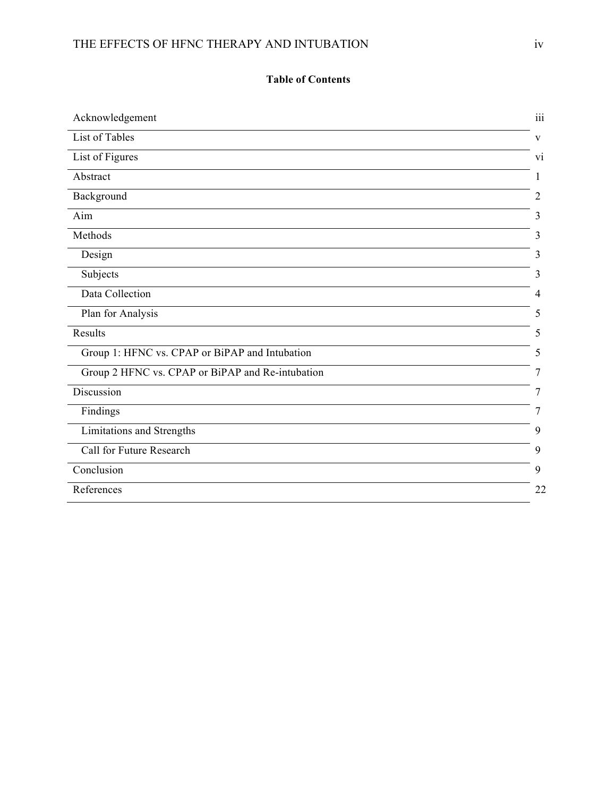# THE EFFECTS OF HFNC THERAPY AND INTUBATION iv

# **Table of Contents**

| Acknowledgement                                  | 111            |
|--------------------------------------------------|----------------|
| List of Tables                                   | V              |
| List of Figures                                  | V <sub>1</sub> |
| Abstract                                         | 1              |
| Background                                       | 2              |
| Aim                                              | 3              |
| Methods                                          | 3              |
| Design                                           | 3              |
| Subjects                                         | 3              |
| Data Collection                                  | 4              |
| Plan for Analysis                                | 5              |
| Results                                          | 5              |
| Group 1: HFNC vs. CPAP or BiPAP and Intubation   | 5              |
| Group 2 HFNC vs. CPAP or BiPAP and Re-intubation | 7              |
| Discussion                                       | 7              |
| Findings                                         | 7              |
| Limitations and Strengths                        | 9              |
| Call for Future Research                         | 9              |
| Conclusion                                       | 9              |
| References                                       | 22             |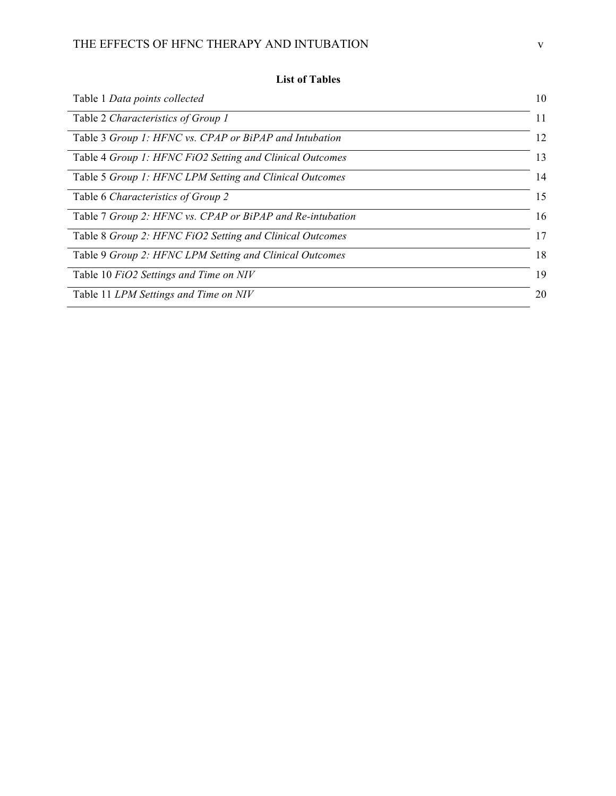# THE EFFECTS OF HFNC THERAPY AND INTUBATION  ${\bf v}$

| Table 1 Data points collected                             | 10 |
|-----------------------------------------------------------|----|
| Table 2 Characteristics of Group 1                        | 11 |
| Table 3 Group 1: HFNC vs. CPAP or BiPAP and Intubation    | 12 |
| Table 4 Group 1: HFNC FiO2 Setting and Clinical Outcomes  | 13 |
| Table 5 Group 1: HFNC LPM Setting and Clinical Outcomes   | 14 |
| Table 6 Characteristics of Group 2                        | 15 |
| Table 7 Group 2: HFNC vs. CPAP or BiPAP and Re-intubation | 16 |
| Table 8 Group 2: HFNC FiO2 Setting and Clinical Outcomes  | 17 |
| Table 9 Group 2: HFNC LPM Setting and Clinical Outcomes   | 18 |
| Table 10 FiO2 Settings and Time on NIV                    | 19 |
| Table 11 LPM Settings and Time on NIV                     | 20 |

# **List of Tables**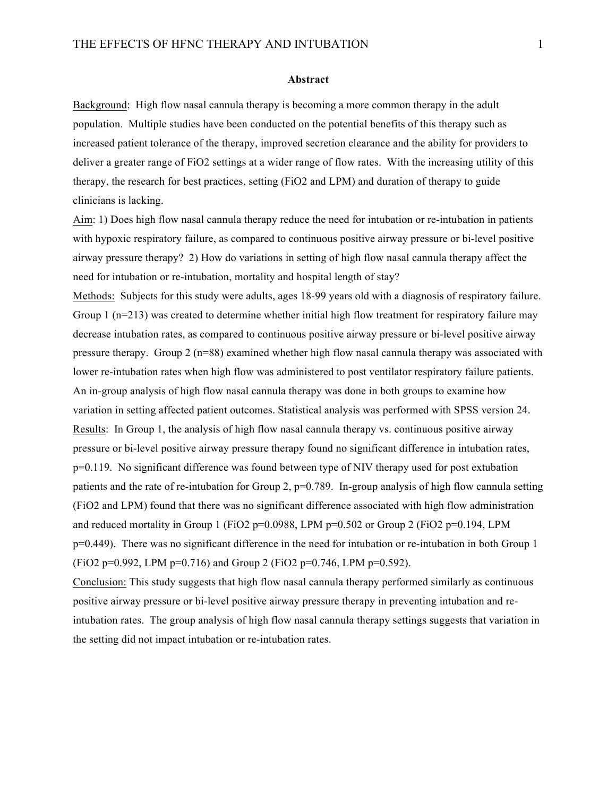#### **Abstract**

Background: High flow nasal cannula therapy is becoming a more common therapy in the adult population. Multiple studies have been conducted on the potential benefits of this therapy such as increased patient tolerance of the therapy, improved secretion clearance and the ability for providers to deliver a greater range of FiO2 settings at a wider range of flow rates. With the increasing utility of this therapy, the research for best practices, setting (FiO2 and LPM) and duration of therapy to guide clinicians is lacking.

Aim: 1) Does high flow nasal cannula therapy reduce the need for intubation or re-intubation in patients with hypoxic respiratory failure, as compared to continuous positive airway pressure or bi-level positive airway pressure therapy? 2) How do variations in setting of high flow nasal cannula therapy affect the need for intubation or re-intubation, mortality and hospital length of stay?

Methods: Subjects for this study were adults, ages 18-99 years old with a diagnosis of respiratory failure. Group 1 ( $n=213$ ) was created to determine whether initial high flow treatment for respiratory failure may decrease intubation rates, as compared to continuous positive airway pressure or bi-level positive airway pressure therapy. Group 2 (n=88) examined whether high flow nasal cannula therapy was associated with lower re-intubation rates when high flow was administered to post ventilator respiratory failure patients. An in-group analysis of high flow nasal cannula therapy was done in both groups to examine how variation in setting affected patient outcomes. Statistical analysis was performed with SPSS version 24. Results: In Group 1, the analysis of high flow nasal cannula therapy vs. continuous positive airway pressure or bi-level positive airway pressure therapy found no significant difference in intubation rates, p=0.119. No significant difference was found between type of NIV therapy used for post extubation patients and the rate of re-intubation for Group 2, p=0.789. In-group analysis of high flow cannula setting (FiO2 and LPM) found that there was no significant difference associated with high flow administration and reduced mortality in Group 1 (FiO2 p=0.0988, LPM p=0.502 or Group 2 (FiO2 p=0.194, LPM p=0.449). There was no significant difference in the need for intubation or re-intubation in both Group 1  $(FiO2 p=0.992, LPM p=0.716)$  and Group 2  $(FiO2 p=0.746, LPM p=0.592)$ .

Conclusion: This study suggests that high flow nasal cannula therapy performed similarly as continuous positive airway pressure or bi-level positive airway pressure therapy in preventing intubation and reintubation rates. The group analysis of high flow nasal cannula therapy settings suggests that variation in the setting did not impact intubation or re-intubation rates.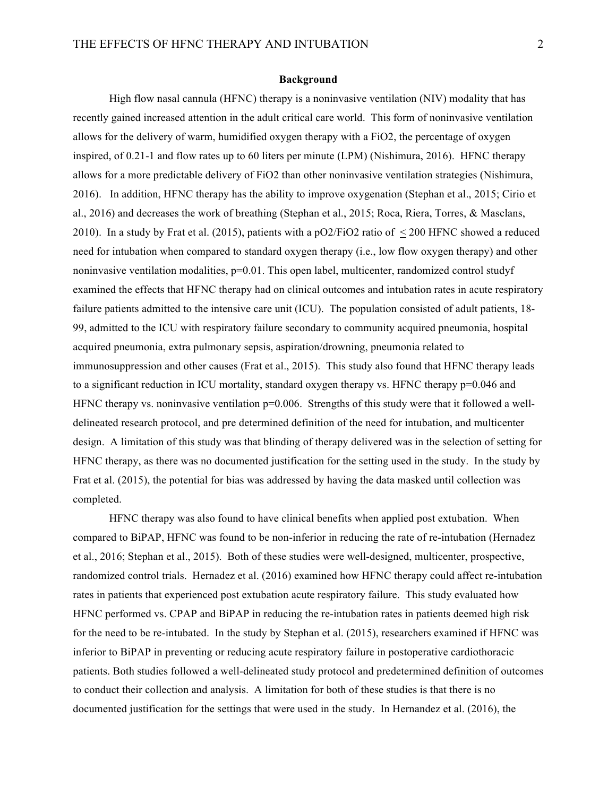#### **Background**

High flow nasal cannula (HFNC) therapy is a noninvasive ventilation (NIV) modality that has recently gained increased attention in the adult critical care world. This form of noninvasive ventilation allows for the delivery of warm, humidified oxygen therapy with a FiO2, the percentage of oxygen inspired, of 0.21-1 and flow rates up to 60 liters per minute (LPM) (Nishimura, 2016). HFNC therapy allows for a more predictable delivery of FiO2 than other noninvasive ventilation strategies (Nishimura, 2016). In addition, HFNC therapy has the ability to improve oxygenation (Stephan et al., 2015; Cirio et al., 2016) and decreases the work of breathing (Stephan et al., 2015; Roca, Riera, Torres, & Masclans, 2010). In a study by Frat et al. (2015), patients with a pO2/FiO2 ratio of < 200 HFNC showed a reduced need for intubation when compared to standard oxygen therapy (i.e., low flow oxygen therapy) and other noninvasive ventilation modalities, p=0.01. This open label, multicenter, randomized control studyf examined the effects that HFNC therapy had on clinical outcomes and intubation rates in acute respiratory failure patients admitted to the intensive care unit (ICU). The population consisted of adult patients, 18- 99, admitted to the ICU with respiratory failure secondary to community acquired pneumonia, hospital acquired pneumonia, extra pulmonary sepsis, aspiration/drowning, pneumonia related to immunosuppression and other causes (Frat et al., 2015). This study also found that HFNC therapy leads to a significant reduction in ICU mortality, standard oxygen therapy vs. HFNC therapy  $p=0.046$  and HFNC therapy vs. noninvasive ventilation  $p=0.006$ . Strengths of this study were that it followed a welldelineated research protocol, and pre determined definition of the need for intubation, and multicenter design. A limitation of this study was that blinding of therapy delivered was in the selection of setting for HFNC therapy, as there was no documented justification for the setting used in the study. In the study by Frat et al. (2015), the potential for bias was addressed by having the data masked until collection was completed.

HFNC therapy was also found to have clinical benefits when applied post extubation. When compared to BiPAP, HFNC was found to be non-inferior in reducing the rate of re-intubation (Hernadez et al., 2016; Stephan et al., 2015). Both of these studies were well-designed, multicenter, prospective, randomized control trials. Hernadez et al. (2016) examined how HFNC therapy could affect re-intubation rates in patients that experienced post extubation acute respiratory failure. This study evaluated how HFNC performed vs. CPAP and BiPAP in reducing the re-intubation rates in patients deemed high risk for the need to be re-intubated. In the study by Stephan et al. (2015), researchers examined if HFNC was inferior to BiPAP in preventing or reducing acute respiratory failure in postoperative cardiothoracic patients. Both studies followed a well-delineated study protocol and predetermined definition of outcomes to conduct their collection and analysis. A limitation for both of these studies is that there is no documented justification for the settings that were used in the study. In Hernandez et al. (2016), the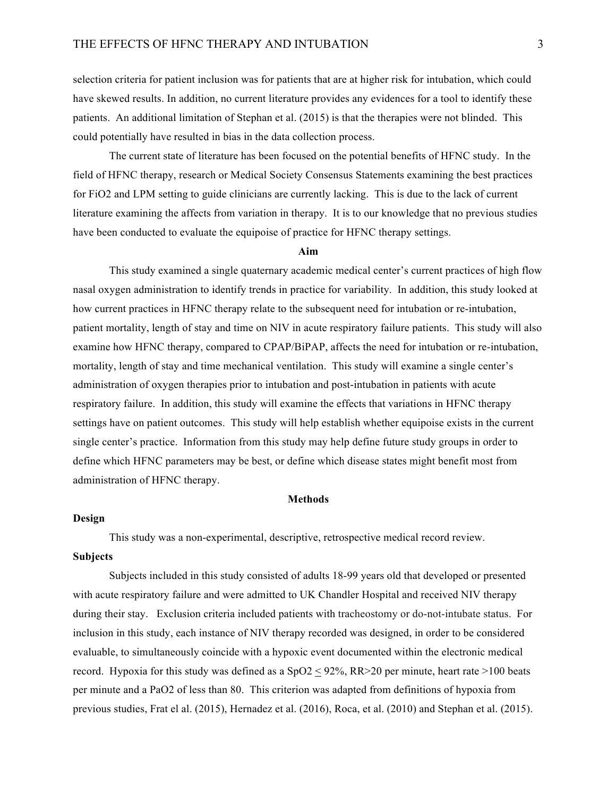selection criteria for patient inclusion was for patients that are at higher risk for intubation, which could have skewed results. In addition, no current literature provides any evidences for a tool to identify these patients. An additional limitation of Stephan et al. (2015) is that the therapies were not blinded. This could potentially have resulted in bias in the data collection process.

The current state of literature has been focused on the potential benefits of HFNC study. In the field of HFNC therapy, research or Medical Society Consensus Statements examining the best practices for FiO2 and LPM setting to guide clinicians are currently lacking. This is due to the lack of current literature examining the affects from variation in therapy. It is to our knowledge that no previous studies have been conducted to evaluate the equipoise of practice for HFNC therapy settings.

#### **Aim**

This study examined a single quaternary academic medical center's current practices of high flow nasal oxygen administration to identify trends in practice for variability. In addition, this study looked at how current practices in HFNC therapy relate to the subsequent need for intubation or re-intubation, patient mortality, length of stay and time on NIV in acute respiratory failure patients. This study will also examine how HFNC therapy, compared to CPAP/BiPAP, affects the need for intubation or re-intubation, mortality, length of stay and time mechanical ventilation. This study will examine a single center's administration of oxygen therapies prior to intubation and post-intubation in patients with acute respiratory failure. In addition, this study will examine the effects that variations in HFNC therapy settings have on patient outcomes. This study will help establish whether equipoise exists in the current single center's practice. Information from this study may help define future study groups in order to define which HFNC parameters may be best, or define which disease states might benefit most from administration of HFNC therapy.

#### **Methods**

#### **Design**

This study was a non-experimental, descriptive, retrospective medical record review.

#### **Subjects**

Subjects included in this study consisted of adults 18-99 years old that developed or presented with acute respiratory failure and were admitted to UK Chandler Hospital and received NIV therapy during their stay. Exclusion criteria included patients with tracheostomy or do-not-intubate status. For inclusion in this study, each instance of NIV therapy recorded was designed, in order to be considered evaluable, to simultaneously coincide with a hypoxic event documented within the electronic medical record. Hypoxia for this study was defined as a  $SpO2 < 92\%$ , RR $>20$  per minute, heart rate  $>100$  beats per minute and a PaO2 of less than 80. This criterion was adapted from definitions of hypoxia from previous studies, Frat el al. (2015), Hernadez et al. (2016), Roca, et al. (2010) and Stephan et al. (2015).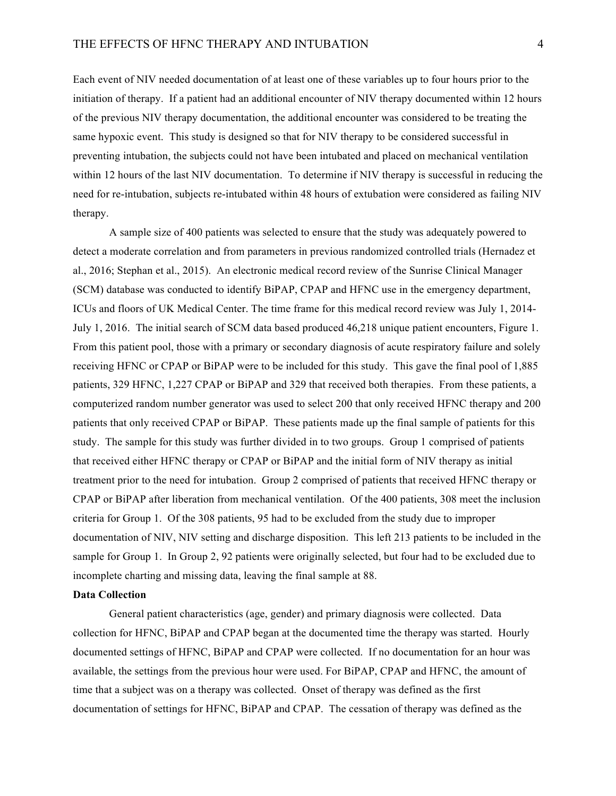Each event of NIV needed documentation of at least one of these variables up to four hours prior to the initiation of therapy. If a patient had an additional encounter of NIV therapy documented within 12 hours of the previous NIV therapy documentation, the additional encounter was considered to be treating the same hypoxic event. This study is designed so that for NIV therapy to be considered successful in preventing intubation, the subjects could not have been intubated and placed on mechanical ventilation within 12 hours of the last NIV documentation. To determine if NIV therapy is successful in reducing the need for re-intubation, subjects re-intubated within 48 hours of extubation were considered as failing NIV therapy.

A sample size of 400 patients was selected to ensure that the study was adequately powered to detect a moderate correlation and from parameters in previous randomized controlled trials (Hernadez et al., 2016; Stephan et al., 2015). An electronic medical record review of the Sunrise Clinical Manager (SCM) database was conducted to identify BiPAP, CPAP and HFNC use in the emergency department, ICUs and floors of UK Medical Center. The time frame for this medical record review was July 1, 2014- July 1, 2016. The initial search of SCM data based produced 46,218 unique patient encounters, Figure 1. From this patient pool, those with a primary or secondary diagnosis of acute respiratory failure and solely receiving HFNC or CPAP or BiPAP were to be included for this study. This gave the final pool of 1,885 patients, 329 HFNC, 1,227 CPAP or BiPAP and 329 that received both therapies. From these patients, a computerized random number generator was used to select 200 that only received HFNC therapy and 200 patients that only received CPAP or BiPAP. These patients made up the final sample of patients for this study. The sample for this study was further divided in to two groups. Group 1 comprised of patients that received either HFNC therapy or CPAP or BiPAP and the initial form of NIV therapy as initial treatment prior to the need for intubation. Group 2 comprised of patients that received HFNC therapy or CPAP or BiPAP after liberation from mechanical ventilation. Of the 400 patients, 308 meet the inclusion criteria for Group 1. Of the 308 patients, 95 had to be excluded from the study due to improper documentation of NIV, NIV setting and discharge disposition. This left 213 patients to be included in the sample for Group 1. In Group 2, 92 patients were originally selected, but four had to be excluded due to incomplete charting and missing data, leaving the final sample at 88.

#### **Data Collection**

General patient characteristics (age, gender) and primary diagnosis were collected. Data collection for HFNC, BiPAP and CPAP began at the documented time the therapy was started. Hourly documented settings of HFNC, BiPAP and CPAP were collected. If no documentation for an hour was available, the settings from the previous hour were used. For BiPAP, CPAP and HFNC, the amount of time that a subject was on a therapy was collected. Onset of therapy was defined as the first documentation of settings for HFNC, BiPAP and CPAP. The cessation of therapy was defined as the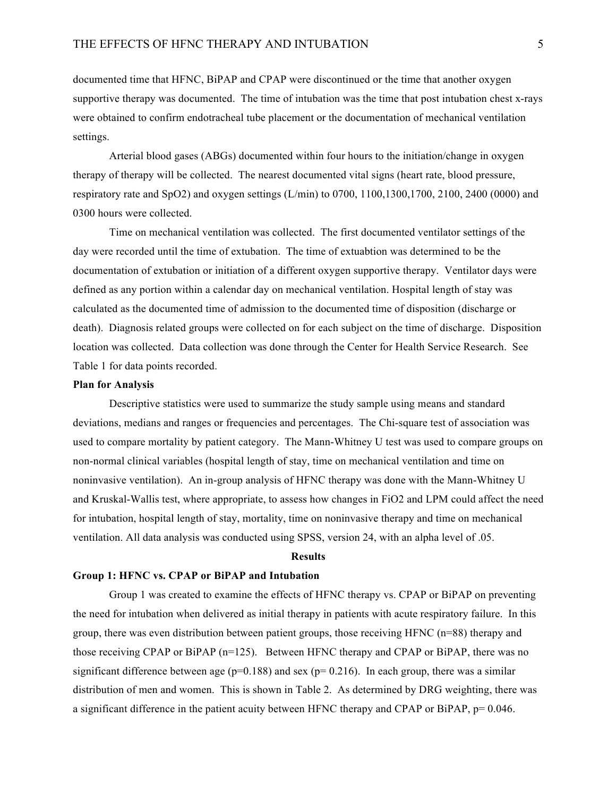documented time that HFNC, BiPAP and CPAP were discontinued or the time that another oxygen supportive therapy was documented. The time of intubation was the time that post intubation chest x-rays were obtained to confirm endotracheal tube placement or the documentation of mechanical ventilation settings.

Arterial blood gases (ABGs) documented within four hours to the initiation/change in oxygen therapy of therapy will be collected. The nearest documented vital signs (heart rate, blood pressure, respiratory rate and SpO2) and oxygen settings (L/min) to 0700, 1100,1300,1700, 2100, 2400 (0000) and 0300 hours were collected.

Time on mechanical ventilation was collected. The first documented ventilator settings of the day were recorded until the time of extubation. The time of extuabtion was determined to be the documentation of extubation or initiation of a different oxygen supportive therapy. Ventilator days were defined as any portion within a calendar day on mechanical ventilation. Hospital length of stay was calculated as the documented time of admission to the documented time of disposition (discharge or death). Diagnosis related groups were collected on for each subject on the time of discharge. Disposition location was collected. Data collection was done through the Center for Health Service Research. See Table 1 for data points recorded.

#### **Plan for Analysis**

Descriptive statistics were used to summarize the study sample using means and standard deviations, medians and ranges or frequencies and percentages. The Chi-square test of association was used to compare mortality by patient category. The Mann-Whitney U test was used to compare groups on non-normal clinical variables (hospital length of stay, time on mechanical ventilation and time on noninvasive ventilation). An in-group analysis of HFNC therapy was done with the Mann-Whitney U and Kruskal-Wallis test, where appropriate, to assess how changes in FiO2 and LPM could affect the need for intubation, hospital length of stay, mortality, time on noninvasive therapy and time on mechanical ventilation. All data analysis was conducted using SPSS, version 24, with an alpha level of .05.

#### **Results**

#### **Group 1: HFNC vs. CPAP or BiPAP and Intubation**

Group 1 was created to examine the effects of HFNC therapy vs. CPAP or BiPAP on preventing the need for intubation when delivered as initial therapy in patients with acute respiratory failure. In this group, there was even distribution between patient groups, those receiving HFNC (n=88) therapy and those receiving CPAP or BiPAP (n=125). Between HFNC therapy and CPAP or BiPAP, there was no significant difference between age ( $p=0.188$ ) and sex ( $p=0.216$ ). In each group, there was a similar distribution of men and women. This is shown in Table 2. As determined by DRG weighting, there was a significant difference in the patient acuity between HFNC therapy and CPAP or BiPAP, p= 0.046.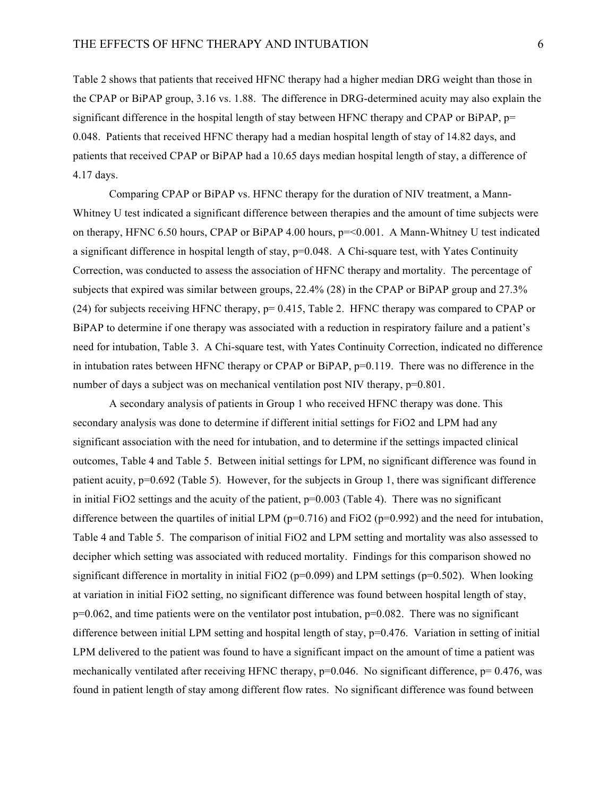Table 2 shows that patients that received HFNC therapy had a higher median DRG weight than those in the CPAP or BiPAP group, 3.16 vs. 1.88. The difference in DRG-determined acuity may also explain the significant difference in the hospital length of stay between HFNC therapy and CPAP or BiPAP,  $p=$ 0.048. Patients that received HFNC therapy had a median hospital length of stay of 14.82 days, and patients that received CPAP or BiPAP had a 10.65 days median hospital length of stay, a difference of 4.17 days.

Comparing CPAP or BiPAP vs. HFNC therapy for the duration of NIV treatment, a Mann-Whitney U test indicated a significant difference between therapies and the amount of time subjects were on therapy, HFNC 6.50 hours, CPAP or BiPAP 4.00 hours, p=<0.001. A Mann-Whitney U test indicated a significant difference in hospital length of stay,  $p=0.048$ . A Chi-square test, with Yates Continuity Correction, was conducted to assess the association of HFNC therapy and mortality. The percentage of subjects that expired was similar between groups, 22.4% (28) in the CPAP or BiPAP group and 27.3% (24) for subjects receiving HFNC therapy, p= 0.415, Table 2. HFNC therapy was compared to CPAP or BiPAP to determine if one therapy was associated with a reduction in respiratory failure and a patient's need for intubation, Table 3. A Chi-square test, with Yates Continuity Correction, indicated no difference in intubation rates between HFNC therapy or CPAP or BiPAP,  $p=0.119$ . There was no difference in the number of days a subject was on mechanical ventilation post NIV therapy,  $p=0.801$ .

A secondary analysis of patients in Group 1 who received HFNC therapy was done. This secondary analysis was done to determine if different initial settings for FiO2 and LPM had any significant association with the need for intubation, and to determine if the settings impacted clinical outcomes, Table 4 and Table 5. Between initial settings for LPM, no significant difference was found in patient acuity, p=0.692 (Table 5). However, for the subjects in Group 1, there was significant difference in initial FiO2 settings and the acuity of the patient,  $p=0.003$  (Table 4). There was no significant difference between the quartiles of initial LPM ( $p=0.716$ ) and FiO2 ( $p=0.992$ ) and the need for intubation, Table 4 and Table 5. The comparison of initial FiO2 and LPM setting and mortality was also assessed to decipher which setting was associated with reduced mortality. Findings for this comparison showed no significant difference in mortality in initial FiO2 ( $p=0.099$ ) and LPM settings ( $p=0.502$ ). When looking at variation in initial FiO2 setting, no significant difference was found between hospital length of stay,  $p=0.062$ , and time patients were on the ventilator post intubation,  $p=0.082$ . There was no significant difference between initial LPM setting and hospital length of stay, p=0.476. Variation in setting of initial LPM delivered to the patient was found to have a significant impact on the amount of time a patient was mechanically ventilated after receiving HFNC therapy,  $p=0.046$ . No significant difference,  $p=0.476$ , was found in patient length of stay among different flow rates. No significant difference was found between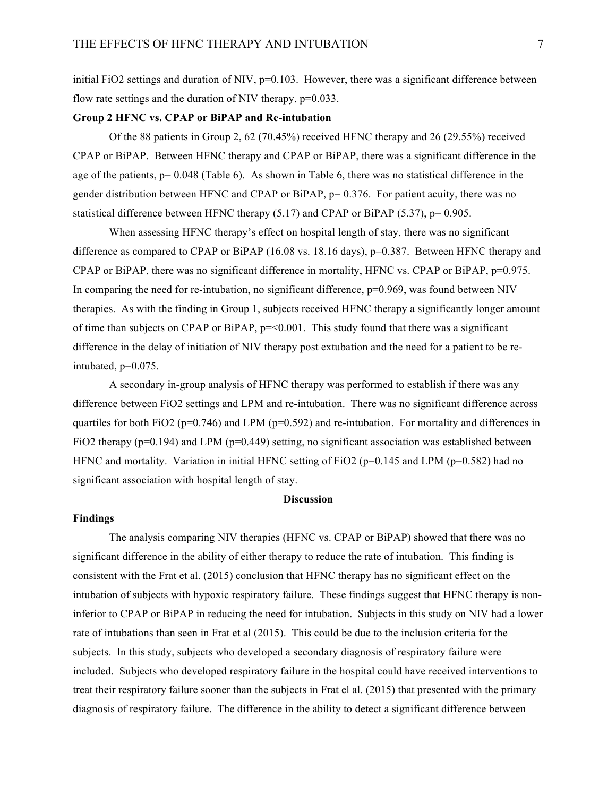initial FiO2 settings and duration of NIV,  $p=0.103$ . However, there was a significant difference between flow rate settings and the duration of NIV therapy,  $p=0.033$ .

### **Group 2 HFNC vs. CPAP or BiPAP and Re-intubation**

Of the 88 patients in Group 2, 62 (70.45%) received HFNC therapy and 26 (29.55%) received CPAP or BiPAP. Between HFNC therapy and CPAP or BiPAP, there was a significant difference in the age of the patients,  $p= 0.048$  (Table 6). As shown in Table 6, there was no statistical difference in the gender distribution between HFNC and CPAP or BiPAP, p= 0.376. For patient acuity, there was no statistical difference between HFNC therapy  $(5.17)$  and CPAP or BiPAP  $(5.37)$ , p= 0.905.

When assessing HFNC therapy's effect on hospital length of stay, there was no significant difference as compared to CPAP or BiPAP (16.08 vs. 18.16 days),  $p=0.387$ . Between HFNC therapy and CPAP or BiPAP, there was no significant difference in mortality, HFNC vs. CPAP or BiPAP, p=0.975. In comparing the need for re-intubation, no significant difference,  $p=0.969$ , was found between NIV therapies. As with the finding in Group 1, subjects received HFNC therapy a significantly longer amount of time than subjects on CPAP or BiPAP,  $p = 0.001$ . This study found that there was a significant difference in the delay of initiation of NIV therapy post extubation and the need for a patient to be reintubated, p=0.075.

A secondary in-group analysis of HFNC therapy was performed to establish if there was any difference between FiO2 settings and LPM and re-intubation. There was no significant difference across quartiles for both FiO2 ( $p=0.746$ ) and LPM ( $p=0.592$ ) and re-intubation. For mortality and differences in FiO2 therapy (p=0.194) and LPM (p=0.449) setting, no significant association was established between HFNC and mortality. Variation in initial HFNC setting of FiO2 ( $p=0.145$  and LPM ( $p=0.582$ ) had no significant association with hospital length of stay.

#### **Discussion**

#### **Findings**

The analysis comparing NIV therapies (HFNC vs. CPAP or BiPAP) showed that there was no significant difference in the ability of either therapy to reduce the rate of intubation. This finding is consistent with the Frat et al. (2015) conclusion that HFNC therapy has no significant effect on the intubation of subjects with hypoxic respiratory failure. These findings suggest that HFNC therapy is noninferior to CPAP or BiPAP in reducing the need for intubation. Subjects in this study on NIV had a lower rate of intubations than seen in Frat et al (2015). This could be due to the inclusion criteria for the subjects. In this study, subjects who developed a secondary diagnosis of respiratory failure were included. Subjects who developed respiratory failure in the hospital could have received interventions to treat their respiratory failure sooner than the subjects in Frat el al. (2015) that presented with the primary diagnosis of respiratory failure. The difference in the ability to detect a significant difference between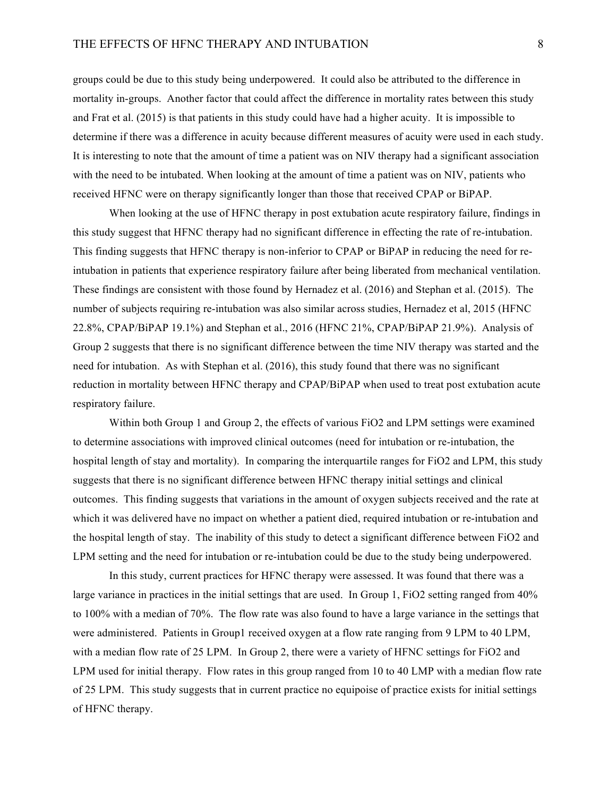groups could be due to this study being underpowered. It could also be attributed to the difference in mortality in-groups. Another factor that could affect the difference in mortality rates between this study and Frat et al. (2015) is that patients in this study could have had a higher acuity. It is impossible to determine if there was a difference in acuity because different measures of acuity were used in each study. It is interesting to note that the amount of time a patient was on NIV therapy had a significant association with the need to be intubated. When looking at the amount of time a patient was on NIV, patients who received HFNC were on therapy significantly longer than those that received CPAP or BiPAP.

When looking at the use of HFNC therapy in post extubation acute respiratory failure, findings in this study suggest that HFNC therapy had no significant difference in effecting the rate of re-intubation. This finding suggests that HFNC therapy is non-inferior to CPAP or BiPAP in reducing the need for reintubation in patients that experience respiratory failure after being liberated from mechanical ventilation. These findings are consistent with those found by Hernadez et al. (2016) and Stephan et al. (2015). The number of subjects requiring re-intubation was also similar across studies, Hernadez et al, 2015 (HFNC 22.8%, CPAP/BiPAP 19.1%) and Stephan et al., 2016 (HFNC 21%, CPAP/BiPAP 21.9%). Analysis of Group 2 suggests that there is no significant difference between the time NIV therapy was started and the need for intubation. As with Stephan et al. (2016), this study found that there was no significant reduction in mortality between HFNC therapy and CPAP/BiPAP when used to treat post extubation acute respiratory failure.

Within both Group 1 and Group 2, the effects of various FiO2 and LPM settings were examined to determine associations with improved clinical outcomes (need for intubation or re-intubation, the hospital length of stay and mortality). In comparing the interquartile ranges for FiO2 and LPM, this study suggests that there is no significant difference between HFNC therapy initial settings and clinical outcomes. This finding suggests that variations in the amount of oxygen subjects received and the rate at which it was delivered have no impact on whether a patient died, required intubation or re-intubation and the hospital length of stay. The inability of this study to detect a significant difference between FiO2 and LPM setting and the need for intubation or re-intubation could be due to the study being underpowered.

In this study, current practices for HFNC therapy were assessed. It was found that there was a large variance in practices in the initial settings that are used. In Group 1, FiO2 setting ranged from 40% to 100% with a median of 70%. The flow rate was also found to have a large variance in the settings that were administered. Patients in Group1 received oxygen at a flow rate ranging from 9 LPM to 40 LPM, with a median flow rate of 25 LPM. In Group 2, there were a variety of HFNC settings for FiO2 and LPM used for initial therapy. Flow rates in this group ranged from 10 to 40 LMP with a median flow rate of 25 LPM. This study suggests that in current practice no equipoise of practice exists for initial settings of HFNC therapy.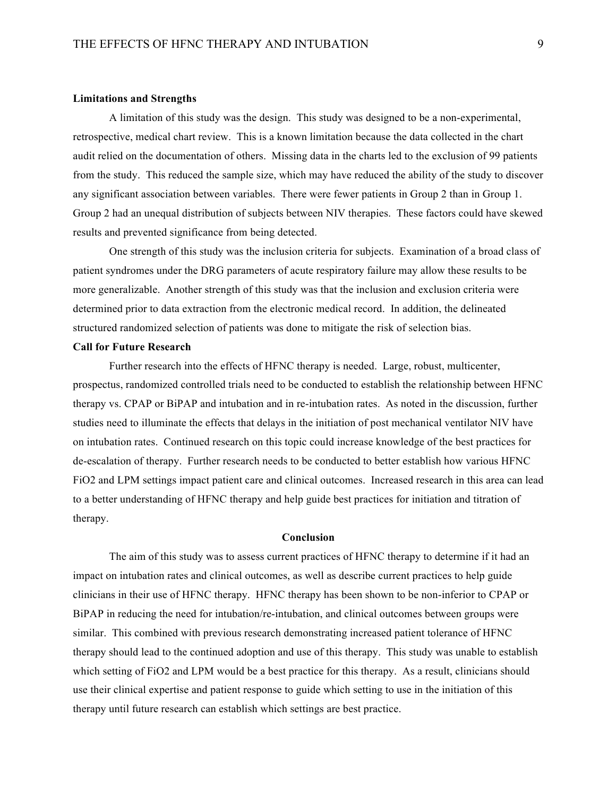#### **Limitations and Strengths**

A limitation of this study was the design. This study was designed to be a non-experimental, retrospective, medical chart review. This is a known limitation because the data collected in the chart audit relied on the documentation of others. Missing data in the charts led to the exclusion of 99 patients from the study. This reduced the sample size, which may have reduced the ability of the study to discover any significant association between variables. There were fewer patients in Group 2 than in Group 1. Group 2 had an unequal distribution of subjects between NIV therapies. These factors could have skewed results and prevented significance from being detected.

One strength of this study was the inclusion criteria for subjects. Examination of a broad class of patient syndromes under the DRG parameters of acute respiratory failure may allow these results to be more generalizable. Another strength of this study was that the inclusion and exclusion criteria were determined prior to data extraction from the electronic medical record. In addition, the delineated structured randomized selection of patients was done to mitigate the risk of selection bias.

#### **Call for Future Research**

Further research into the effects of HFNC therapy is needed. Large, robust, multicenter, prospectus, randomized controlled trials need to be conducted to establish the relationship between HFNC therapy vs. CPAP or BiPAP and intubation and in re-intubation rates. As noted in the discussion, further studies need to illuminate the effects that delays in the initiation of post mechanical ventilator NIV have on intubation rates. Continued research on this topic could increase knowledge of the best practices for de-escalation of therapy. Further research needs to be conducted to better establish how various HFNC FiO2 and LPM settings impact patient care and clinical outcomes. Increased research in this area can lead to a better understanding of HFNC therapy and help guide best practices for initiation and titration of therapy.

#### **Conclusion**

The aim of this study was to assess current practices of HFNC therapy to determine if it had an impact on intubation rates and clinical outcomes, as well as describe current practices to help guide clinicians in their use of HFNC therapy. HFNC therapy has been shown to be non-inferior to CPAP or BiPAP in reducing the need for intubation/re-intubation, and clinical outcomes between groups were similar. This combined with previous research demonstrating increased patient tolerance of HFNC therapy should lead to the continued adoption and use of this therapy. This study was unable to establish which setting of FiO2 and LPM would be a best practice for this therapy. As a result, clinicians should use their clinical expertise and patient response to guide which setting to use in the initiation of this therapy until future research can establish which settings are best practice.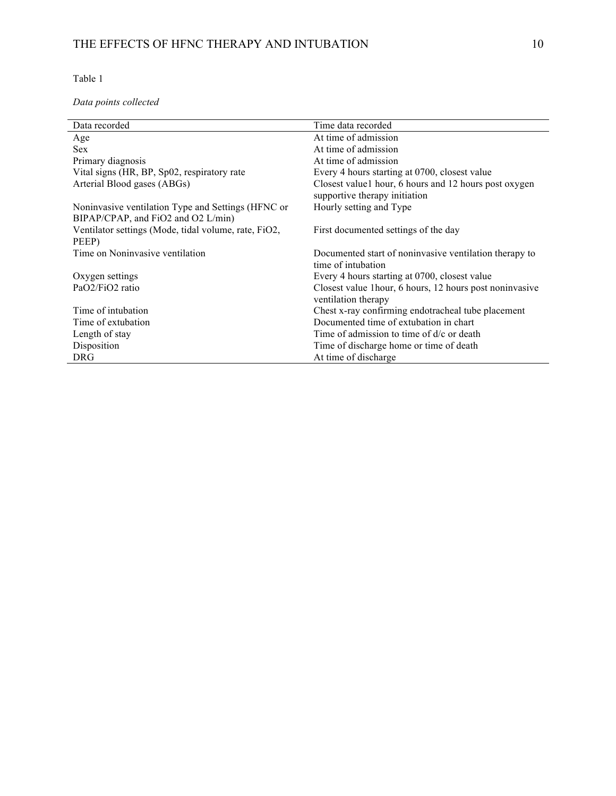*Data points collected*

| Data recorded                                                                            | Time data recorded                                                                     |
|------------------------------------------------------------------------------------------|----------------------------------------------------------------------------------------|
| Age                                                                                      | At time of admission                                                                   |
| <b>Sex</b>                                                                               | At time of admission                                                                   |
| Primary diagnosis                                                                        | At time of admission                                                                   |
| Vital signs (HR, BP, Sp02, respiratory rate                                              | Every 4 hours starting at 0700, closest value                                          |
| Arterial Blood gases (ABGs)                                                              | Closest value1 hour, 6 hours and 12 hours post oxygen<br>supportive therapy initiation |
| Noninvasive ventilation Type and Settings (HFNC or<br>BIPAP/CPAP, and FiO2 and O2 L/min) | Hourly setting and Type                                                                |
| Ventilator settings (Mode, tidal volume, rate, FiO2,<br>PEEP)                            | First documented settings of the day                                                   |
| Time on Noninvasive ventilation                                                          | Documented start of noninvasive ventilation therapy to<br>time of intubation           |
| Oxygen settings                                                                          | Every 4 hours starting at 0700, closest value                                          |
| PaO2/FiO2 ratio                                                                          | Closest value 1 hour, 6 hours, 12 hours post noninvasive<br>ventilation therapy        |
| Time of intubation                                                                       | Chest x-ray confirming endotracheal tube placement                                     |
| Time of extubation                                                                       | Documented time of extubation in chart                                                 |
| Length of stay                                                                           | Time of admission to time of $d/c$ or death                                            |
| Disposition                                                                              | Time of discharge home or time of death                                                |
| <b>DRG</b>                                                                               | At time of discharge                                                                   |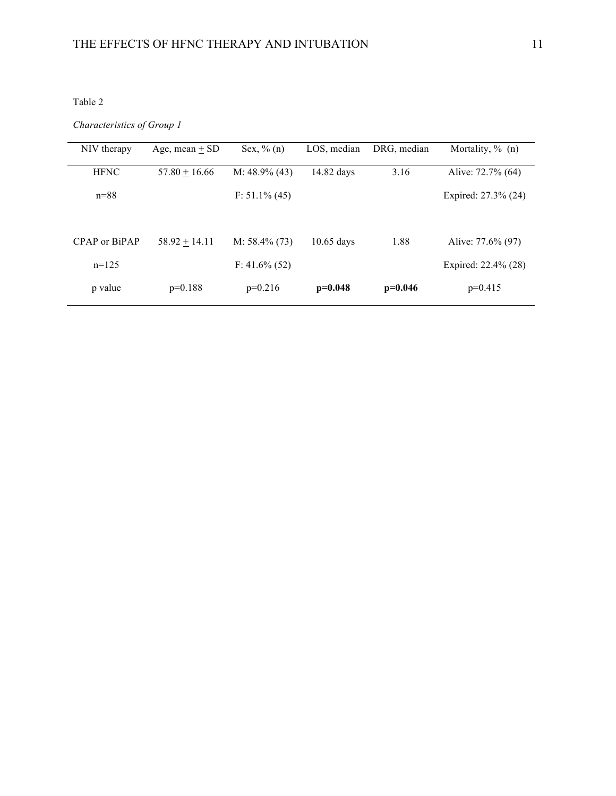*Characteristics of Group 1*

| NIV therapy   | Age, mean $+$ SD | Sex, $\%$ (n)    | LOS, median  | DRG, median | Mortality, $\%$ (n) |
|---------------|------------------|------------------|--------------|-------------|---------------------|
| <b>HFNC</b>   | $57.80 + 16.66$  | M: $48.9\%$ (43) | 14.82 days   | 3.16        | Alive: 72.7% (64)   |
| $n = 88$      |                  | $F: 51.1\% (45)$ |              |             | Expired: 27.3% (24) |
|               |                  |                  |              |             |                     |
| CPAP or BiPAP | $58.92 + 14.11$  | $M: 58.4\% (73)$ | $10.65$ days | 1.88        | Alive: 77.6% (97)   |
| $n=125$       |                  | $F: 41.6\% (52)$ |              |             | Expired: 22.4% (28) |
| p value       | $p=0.188$        | $p=0.216$        | $p=0.048$    | $p=0.046$   | $p=0.415$           |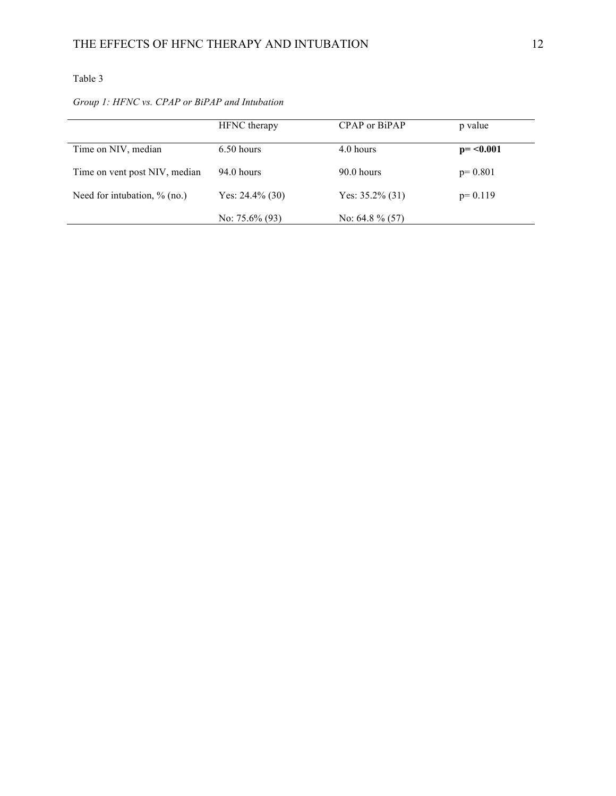|                                 | <b>HFNC</b> therapy | CPAP or BiPAP      | p value     |
|---------------------------------|---------------------|--------------------|-------------|
| Time on NIV, median             | $6.50$ hours        | 4.0 hours          | $p = 0.001$ |
| Time on vent post NIV, median   | 94.0 hours          | 90.0 hours         | $p=0.801$   |
| Need for intubation, $\%$ (no.) | Yes: $24.4\%$ (30)  | Yes: $35.2\%$ (31) | $p=0.119$   |
|                                 | No: $75.6\%$ (93)   | No: $64.8\%$ (57)  |             |

# *Group 1: HFNC vs. CPAP or BiPAP and Intubation*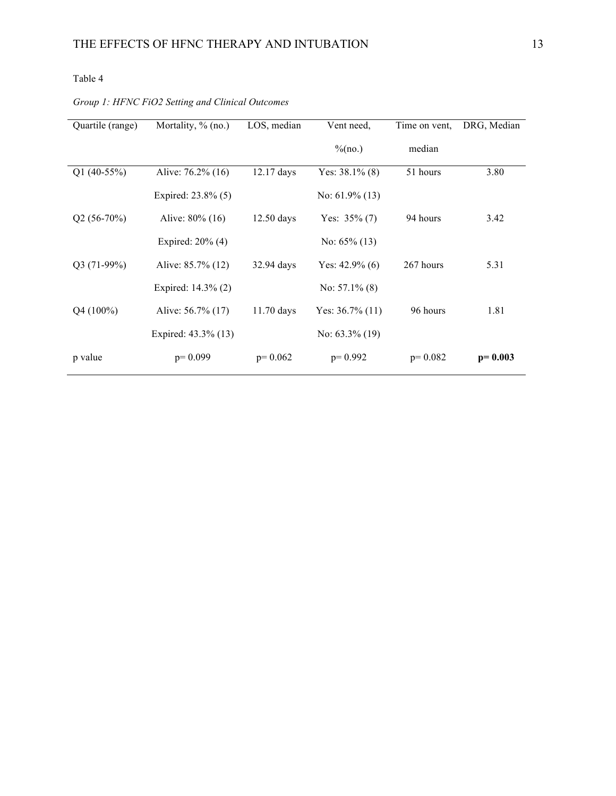# *Group 1: HFNC FiO2 Setting and Clinical Outcomes*

| Quartile (range) | Mortality, % (no.)  | LOS, median  | Vent need,         | Time on vent, | DRG, Median |
|------------------|---------------------|--------------|--------------------|---------------|-------------|
|                  |                     |              | % (no.)            | median        |             |
| Q1 $(40-55%)$    | Alive: 76.2% (16)   | $12.17$ days | Yes: $38.1\%$ (8)  | 51 hours      | 3.80        |
|                  | Expired: 23.8% (5)  |              | No: $61.9\%$ (13)  |               |             |
| $Q2(56-70%)$     | Alive: 80% (16)     | $12.50$ days | Yes: $35\%$ (7)    | 94 hours      | 3.42        |
|                  | Expired: $20\%$ (4) |              | No: $65\%$ (13)    |               |             |
| $Q3(71-99%)$     | Alive: 85.7% (12)   | 32.94 days   | Yes: $42.9\%$ (6)  | 267 hours     | 5.31        |
|                  | Expired: 14.3% (2)  |              | No: $57.1\%$ (8)   |               |             |
| $Q4(100\%)$      | Alive: 56.7% (17)   | 11.70 days   | Yes: $36.7\%$ (11) | 96 hours      | 1.81        |
|                  | Expired: 43.3% (13) |              | No: $63.3\%$ (19)  |               |             |
| p value          | $p=0.099$           | $p=0.062$    | $p=0.992$          | $p=0.082$     | $p=0.003$   |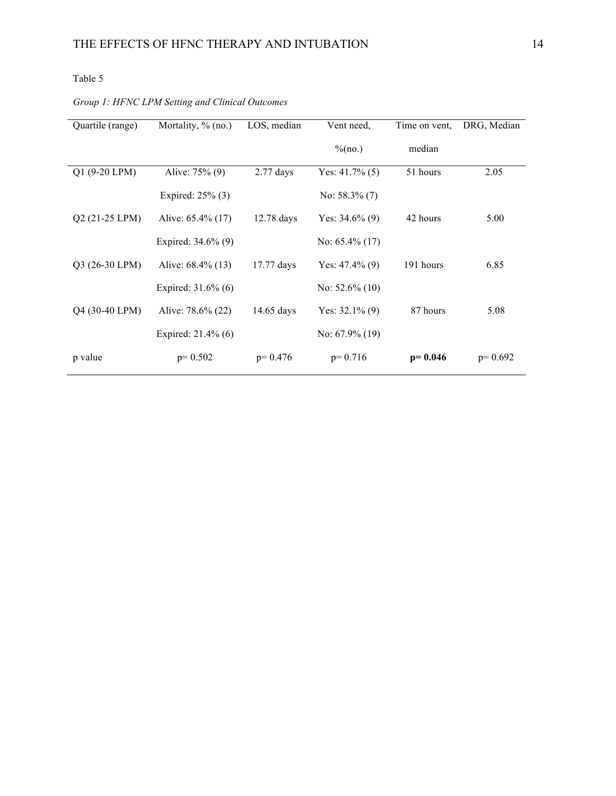# *Group 1: HFNC LPM Setting and Clinical Outcomes*

| Quartile (range) | Mortality, % (no.) | LOS, median  | Vent need,        | Time on vent. | DRG, Median |
|------------------|--------------------|--------------|-------------------|---------------|-------------|
|                  |                    |              | $\%$ (no.)        | median        |             |
| Q1 (9-20 LPM)    | Alive: 75% (9)     | $2.77$ days  | Yes: $41.7\%$ (5) | 51 hours      | 2.05        |
|                  | Expired: 25% (3)   |              | No: $58.3\%$ (7)  |               |             |
| Q2 (21-25 LPM)   | Alive: 65.4% (17)  | 12.78 days   | Yes: $34.6\%$ (9) | 42 hours      | 5.00        |
|                  | Expired: 34.6% (9) |              | No: $65.4\%$ (17) |               |             |
| Q3 (26-30 LPM)   | Alive: 68.4% (13)  | 17.77 days   | Yes: $47.4\%$ (9) | 191 hours     | 6.85        |
|                  | Expired: 31.6% (6) |              | No: $52.6\%$ (10) |               |             |
| Q4 (30-40 LPM)   | Alive: 78.6% (22)  | $14.65$ days | Yes: $32.1\%$ (9) | 87 hours      | 5.08        |
|                  | Expired: 21.4% (6) |              | No: $67.9\%$ (19) |               |             |
| p value          | $p=0.502$          | $p=0.476$    | $p=0.716$         | $p = 0.046$   | $p=0.692$   |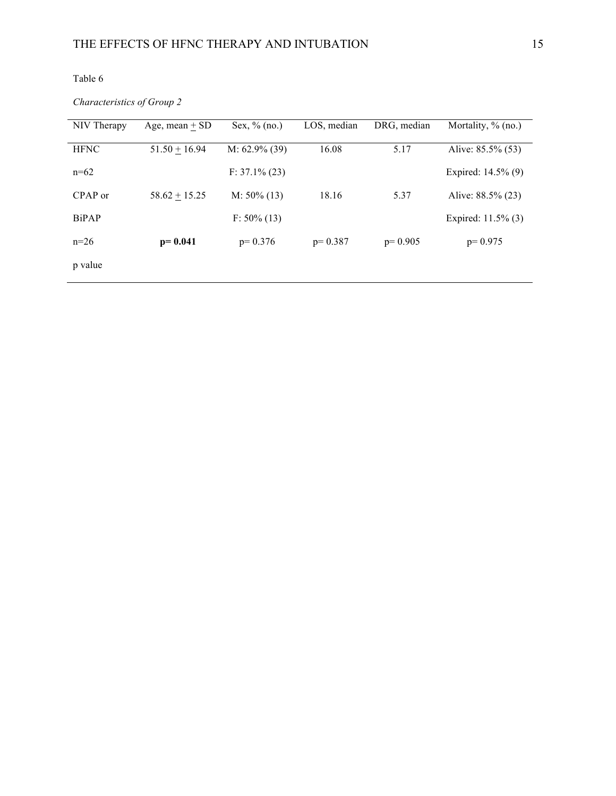*Characteristics of Group 2*

| NIV Therapy  | Age, mean $+$ SD | Sex, $\%$ (no.)  | LOS, median | DRG, median | Mortality, $\%$ (no.) |
|--------------|------------------|------------------|-------------|-------------|-----------------------|
| <b>HFNC</b>  | $51.50 + 16.94$  | M: $62.9\%$ (39) | 16.08       | 5.17        | Alive: 85.5% (53)     |
| $n=62$       |                  | $F: 37.1\% (23)$ |             |             | Expired: 14.5% (9)    |
| CPAP or      | $58.62 + 15.25$  | $M: 50\% (13)$   | 18.16       | 5.37        | Alive: 88.5% (23)     |
| <b>BiPAP</b> |                  | $F: 50\% (13)$   |             |             | Expired: 11.5% (3)    |
| $n=26$       | $p = 0.041$      | $p=0.376$        | $p=0.387$   | $p=0.905$   | $p=0.975$             |
| p value      |                  |                  |             |             |                       |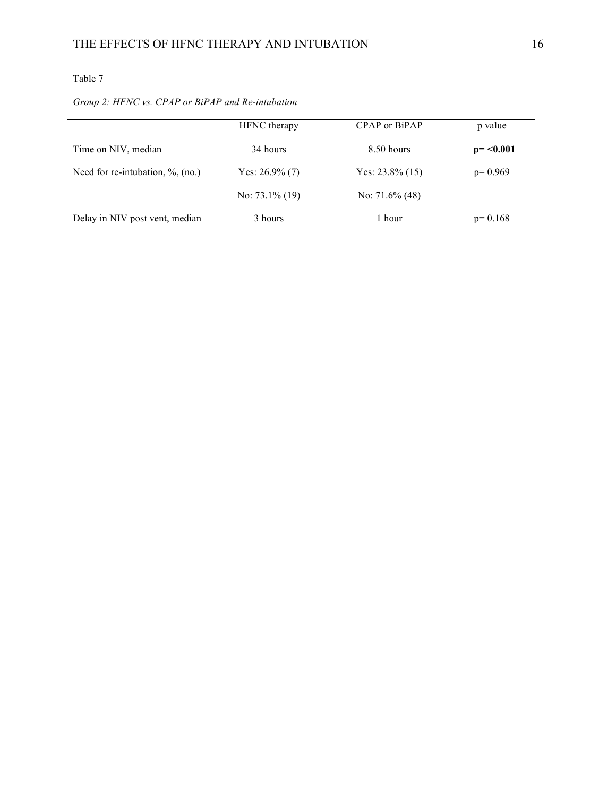# *Group 2: HFNC vs. CPAP or BiPAP and Re-intubation*

|                                      | HFNC therapy      | CPAP or BiPAP      | p value     |
|--------------------------------------|-------------------|--------------------|-------------|
| Time on NIV, median                  | 34 hours          | 8.50 hours         | $p = 0.001$ |
| Need for re-intubation, $\%$ , (no.) | Yes: $26.9\%$ (7) | Yes: $23.8\%$ (15) | $p=0.969$   |
|                                      | No: $73.1\%$ (19) | No: $71.6\%$ (48)  |             |
| Delay in NIV post vent, median       | 3 hours           | 1 hour             | $p=0.168$   |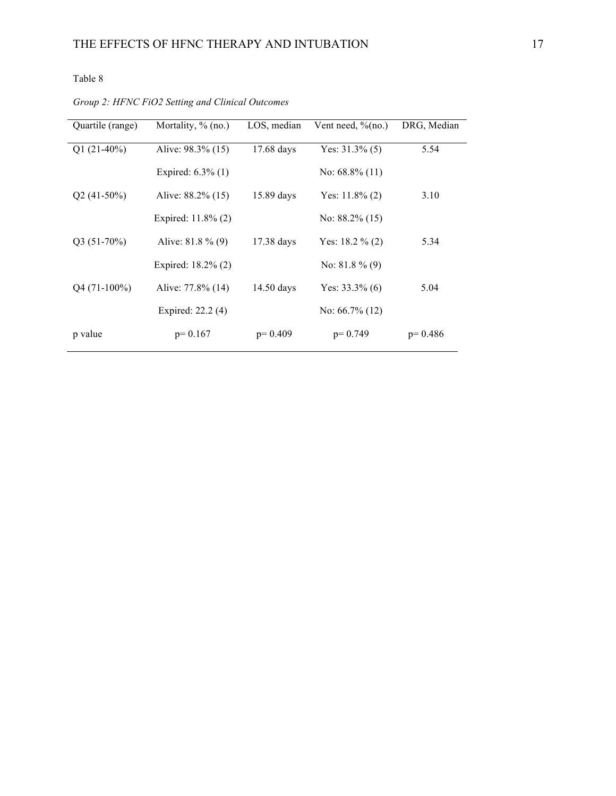| Quartile (range) | Mortality, $\%$ (no.) | LOS, median  | Vent need, $\%$ (no.) | DRG, Median |
|------------------|-----------------------|--------------|-----------------------|-------------|
| $Q1(21-40%)$     | Alive: 98.3% (15)     | $17.68$ days | Yes: $31.3\%$ (5)     | 5.54        |
|                  | Expired: $6.3\%$ (1)  |              | No: $68.8\%$ (11)     |             |
| $Q2(41-50\%)$    | Alive: 88.2% (15)     | 15.89 days   | Yes: $11.8\%$ (2)     | 3.10        |
|                  | Expired: 11.8% (2)    |              | No: $88.2\%$ (15)     |             |
| $Q3(51-70%)$     | Alive: $81.8\%$ (9)   | 17.38 days   | Yes: $18.2 \% (2)$    | 5.34        |
|                  | Expired: 18.2% (2)    |              | No: $81.8\%$ (9)      |             |
| $Q4(71-100\%)$   | Alive: 77.8% (14)     | $14.50$ days | Yes: $33.3\%$ (6)     | 5.04        |
|                  | Expired: 22.2 (4)     |              | No: $66.7\%$ (12)     |             |
| p value          | $p=0.167$             | $p=0.409$    | $p=0.749$             | $p=0.486$   |

*Group 2: HFNC FiO2 Setting and Clinical Outcomes*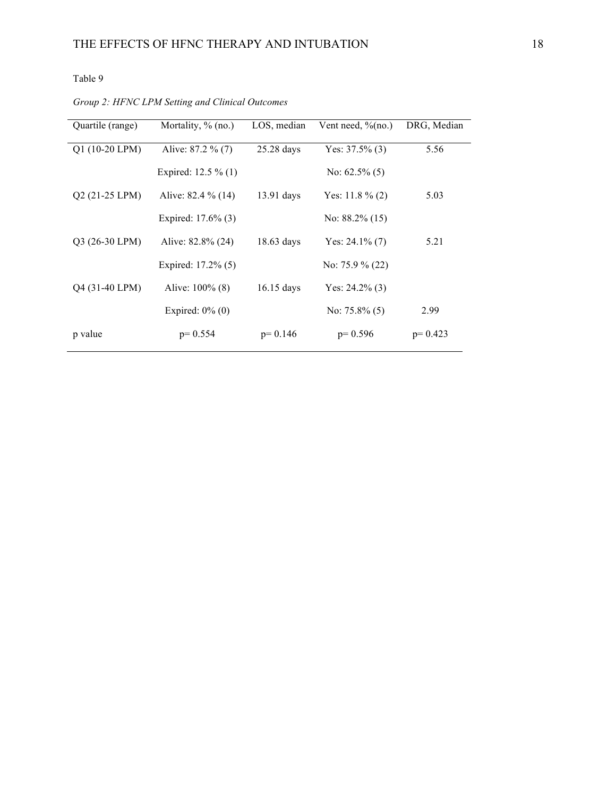*Group 2: HFNC LPM Setting and Clinical Outcomes*

| Quartile (range) | Mortality, $\%$ (no.) | LOS, median  | Vent need, $\%$ (no.) | DRG, Median |
|------------------|-----------------------|--------------|-----------------------|-------------|
| $Q1(10-20 LPM)$  | Alive: 87.2 % (7)     | $25.28$ days | Yes: $37.5\%$ (3)     | 5.56        |
|                  | Expired: $12.5\%$ (1) |              | No: $62.5\%$ (5)      |             |
| $Q2(21-25 LPM)$  | Alive: 82.4 % (14)    | $13.91$ days | Yes: 11.8 $\%$ (2)    | 5.03        |
|                  | Expired: 17.6% (3)    |              | No: $88.2\%$ (15)     |             |
| Q3 (26-30 LPM)   | Alive: 82.8% (24)     | $18.63$ days | Yes: $24.1\%$ (7)     | 5.21        |
|                  | Expired: 17.2% (5)    |              | No: $75.9\%$ (22)     |             |
| Q4 (31-40 LPM)   | Alive: $100\%$ (8)    | $16.15$ days | Yes: $24.2\%$ (3)     |             |
|                  | Expired: $0\%$ (0)    |              | No: $75.8\%$ (5)      | 2.99        |
| p value          | $p=0.554$             | $p=0.146$    | $p=0.596$             | $p=0.423$   |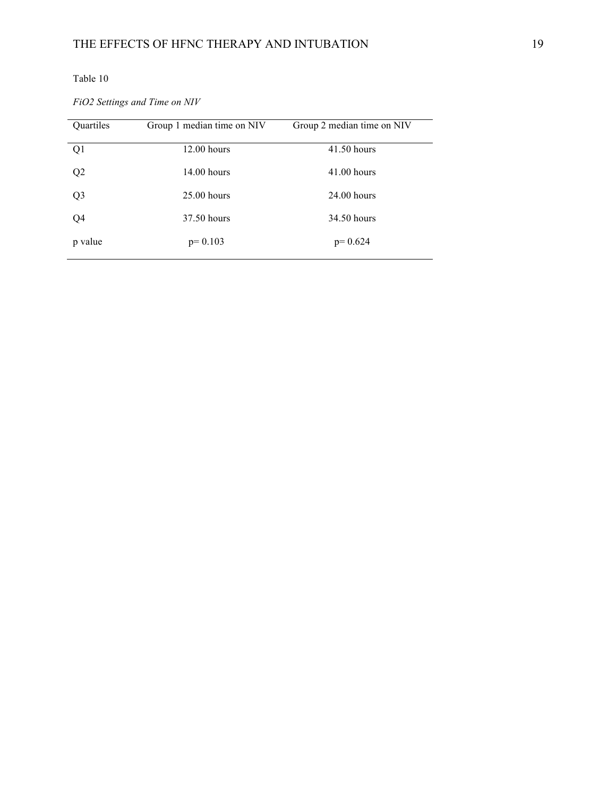*FiO2 Settings and Time on NIV*

| Quartiles      | Group 1 median time on NIV | Group 2 median time on NIV |
|----------------|----------------------------|----------------------------|
| Q1             | $12.00$ hours              | $41.50$ hours              |
| Q <sub>2</sub> | $14.00$ hours              | $41.00$ hours              |
| Q <sub>3</sub> | $25.00$ hours              | $24.00$ hours              |
| Q4             | 37.50 hours                | 34.50 hours                |
| p value        | $p=0.103$                  | $p=0.624$                  |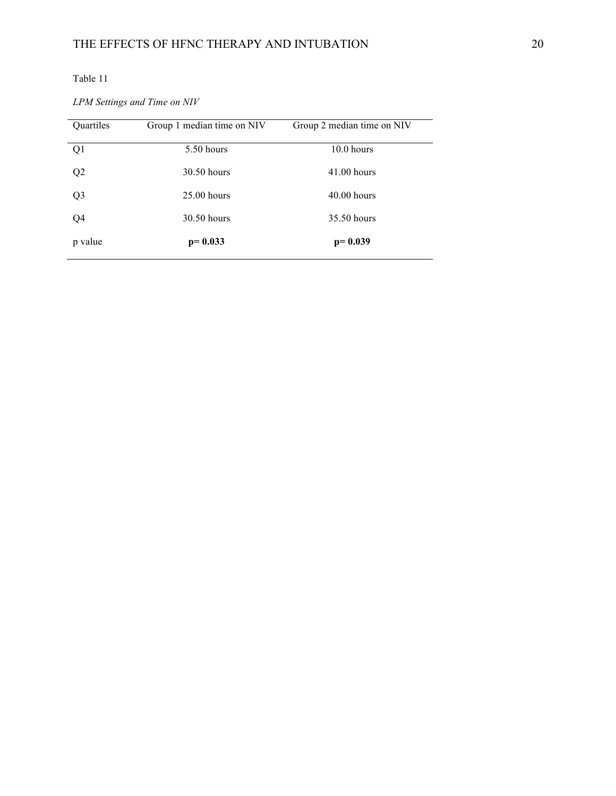*LPM Settings and Time on NIV*

| Quartiles      | Group 1 median time on NIV | Group 2 median time on NIV |
|----------------|----------------------------|----------------------------|
| Q1             | 5.50 hours                 | 10.0 hours                 |
| Q <sub>2</sub> | 30.50 hours                | $41.00$ hours              |
| Q <sub>3</sub> | $25.00$ hours              | $40.00$ hours              |
| Q4             | 30.50 hours                | 35.50 hours                |
| p value        | $p=0.033$                  | $p = 0.039$                |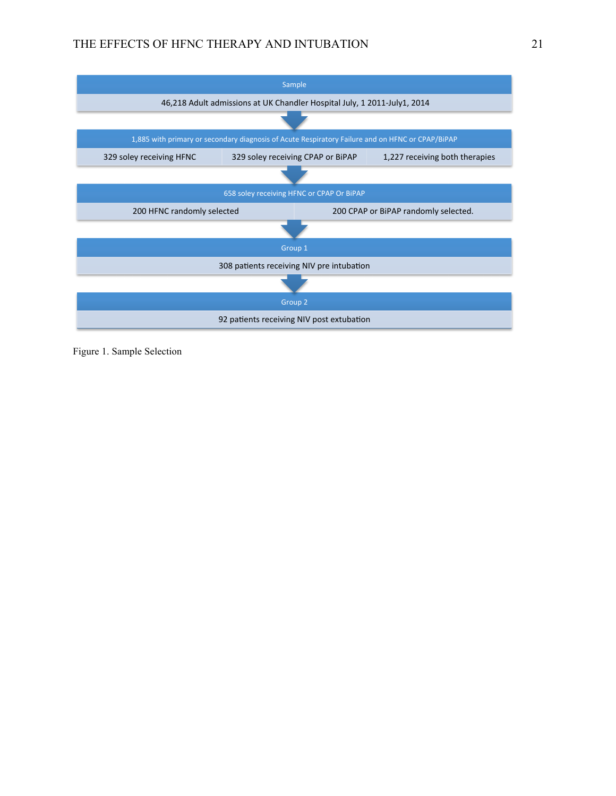# THE EFFECTS OF HFNC THERAPY AND INTUBATION 21



Figure 1. Sample Selection